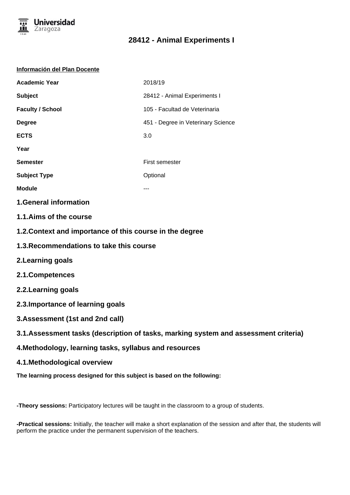

#### **Información del Plan Docente**

| <b>Academic Year</b>    | 2018/19                            |
|-------------------------|------------------------------------|
| <b>Subject</b>          | 28412 - Animal Experiments I       |
| <b>Faculty / School</b> | 105 - Facultad de Veterinaria      |
| <b>Degree</b>           | 451 - Degree in Veterinary Science |
| <b>ECTS</b>             | 3.0                                |
| Year                    |                                    |
| <b>Semester</b>         | First semester                     |
| <b>Subject Type</b>     | Optional                           |
| <b>Module</b>           |                                    |

## **1.General information**

- **1.1.Aims of the course**
- **1.2.Context and importance of this course in the degree**
- **1.3.Recommendations to take this course**
- **2.Learning goals**
- **2.1.Competences**
- **2.2.Learning goals**
- **2.3.Importance of learning goals**
- **3.Assessment (1st and 2nd call)**
- **3.1.Assessment tasks (description of tasks, marking system and assessment criteria)**
- **4.Methodology, learning tasks, syllabus and resources**
- **4.1.Methodological overview**
- **The learning process designed for this subject is based on the following:**

**-Theory sessions:** Participatory lectures will be taught in the classroom to a group of students.

**-Practical sessions:** Initially, the teacher will make a short explanation of the session and after that, the students will perform the practice under the permanent supervision of the teachers.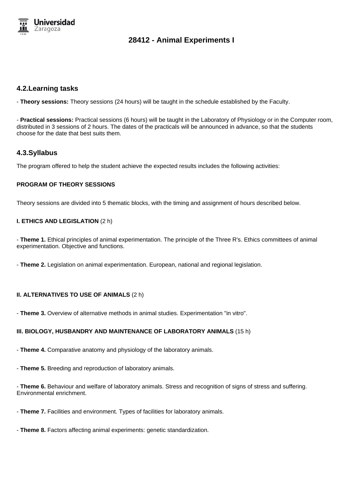

## **4.2.Learning tasks**

- **Theory sessions:** Theory sessions (24 hours) will be taught in the schedule established by the Faculty.

- **Practical sessions:** Practical sessions (6 hours) will be taught in the Laboratory of Physiology or in the Computer room, distributed in 3 sessions of 2 hours. The dates of the practicals will be announced in advance, so that the students choose for the date that best suits them.

## **4.3.Syllabus**

The program offered to help the student achieve the expected results includes the following activities:

## **PROGRAM OF THEORY SESSIONS**

Theory sessions are divided into 5 thematic blocks, with the timing and assignment of hours described below.

## **I. ETHICS AND LEGISLATION** (2 h)

- **Theme 1.** Ethical principles of animal experimentation. The principle of the Three R's. Ethics committees of animal experimentation. Objective and functions.

- **Theme 2.** Legislation on animal experimentation. European, national and regional legislation.

#### **II. ALTERNATIVES TO USE OF ANIMALS** (2 h)

- **Theme 3.** Overview of alternative methods in animal studies. Experimentation "in vitro".

#### **III. BIOLOGY, HUSBANDRY AND MAINTENANCE OF LABORATORY ANIMALS** (15 h)

- **Theme 4.** Comparative anatomy and physiology of the laboratory animals.

- **Theme 5.** Breeding and reproduction of laboratory animals.

- **Theme 6.** Behaviour and welfare of laboratory animals. Stress and recognition of signs of stress and suffering. Environmental enrichment.

- **Theme 7.** Facilities and environment. Types of facilities for laboratory animals.

- **Theme 8.** Factors affecting animal experiments: genetic standardization.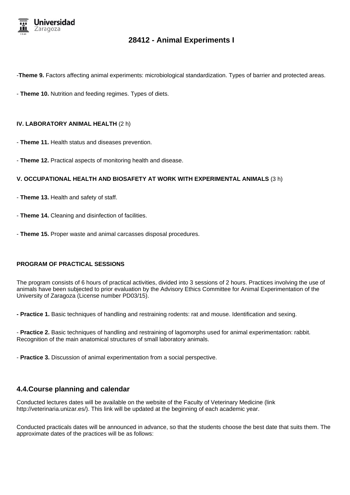

-**Theme 9.** Factors affecting animal experiments: microbiological standardization. Types of barrier and protected areas.

- **Theme 10.** Nutrition and feeding regimes. Types of diets.

#### **IV. LABORATORY ANIMAL HEALTH** (2 h)

- **Theme 11.** Health status and diseases prevention.

- **Theme 12.** Practical aspects of monitoring health and disease.

#### **V. OCCUPATIONAL HEALTH AND BIOSAFETY AT WORK WITH EXPERIMENTAL ANIMALS** (3 h)

- **Theme 13.** Health and safety of staff.
- **Theme 14.** Cleaning and disinfection of facilities.
- **Theme 15.** Proper waste and animal carcasses disposal procedures.

#### **PROGRAM OF PRACTICAL SESSIONS**

The program consists of 6 hours of practical activities, divided into 3 sessions of 2 hours. Practices involving the use of animals have been subjected to prior evaluation by the Advisory Ethics Committee for Animal Experimentation of the University of Zaragoza (License number PD03/15).

**- Practice 1.** Basic techniques of handling and restraining rodents: rat and mouse. Identification and sexing.

- **Practice 2.** Basic techniques of handling and restraining of lagomorphs used for animal experimentation: rabbit. Recognition of the main anatomical structures of small laboratory animals.

- **Practice 3.** Discussion of animal experimentation from a social perspective.

## **4.4.Course planning and calendar**

Conducted lectures dates will be available on the website of the Faculty of Veterinary Medicine (link http://veterinaria.unizar.es/). This link will be updated at the beginning of each academic year.

Conducted practicals dates will be announced in advance, so that the students choose the best date that suits them. The approximate dates of the practices will be as follows: